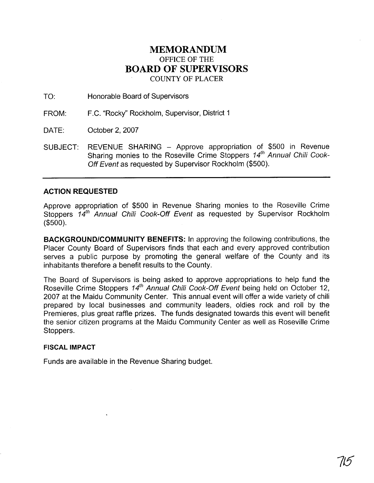## **MEMORANDUM**  OFFICE OF THE **BOARD OF SUPERVISORS**  COUNTY OF PLACER

TO: Honorable Board of Supervisors

FROM: F.C. "Rocky" Rockholm, Supervisor, District 1

DATE: October 2, 2007

SUBJECT: REVENUE SHARING - Approve appropriation of \$500 in Revenue Sharing monies to the Roseville Crime Stoppers 14<sup>th</sup> Annual Chili Cook-Off Event as requested by Supervisor Rockholm (\$500).

## **ACTION REQUESTED**

Approve appropriation of \$500 in Revenue Sharing monies to the Roseville Crime Stoppers 14<sup>th</sup> Annual Chili Cook-Off Event as requested by Supervisor Rockholm (\$500).

**BACKGROUNDICOMMUNITY BENEFITS:** In approving the following contributions, the Placer County Board of Supervisors finds that each and every approved contribution serves a public purpose by promoting the general welfare of the County and its inhabitants therefore a benefit results to the County.

The Board of Supervisors is being asked to approve appropriations to help fund the Roseville Crime Stoppers  $14<sup>th</sup>$  Annual Chili Cook-Off Event being held on October 12, 2007 at the Maidu Community Center. This annual event will offer a wide variety of chili prepared by local businesses and community leaders, oldies rock and roll by the Premieres, plus great raffle prizes. The funds designated towards this event will benefit the senior citizen programs at the Maidu Community Center as well as Roseville Crime Stoppers.

## **FISCAL IMPACT**

Funds are available in the Revenue Sharing budget.